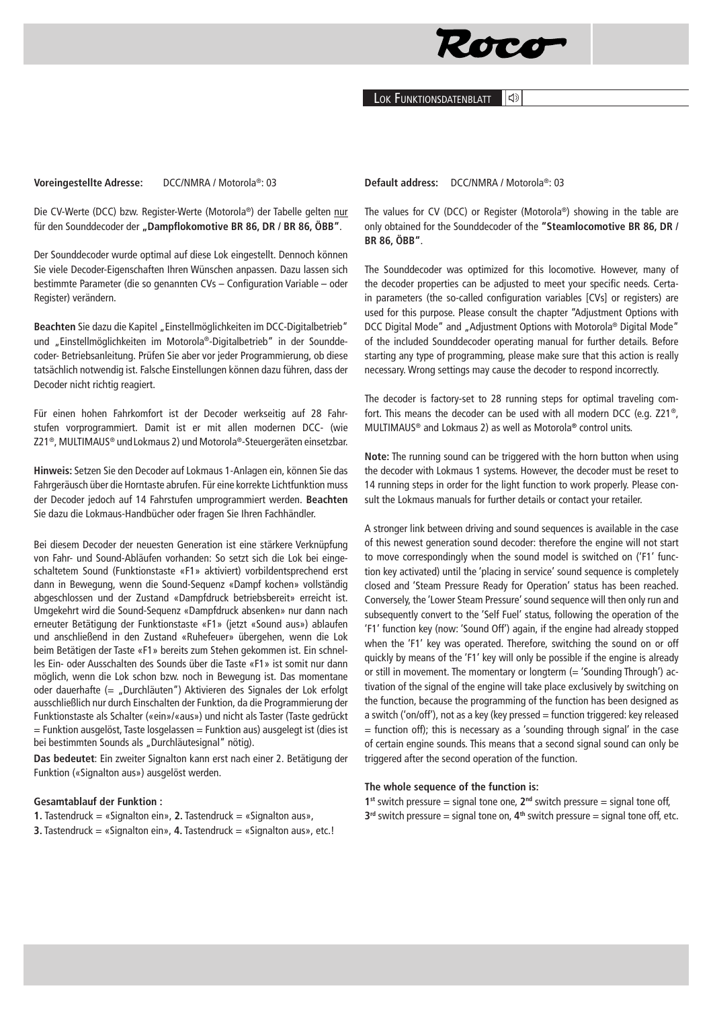

Lok Funktionsdatenblatt

Die CV-Werte (DCC) bzw. Register-Werte (Motorola®) der Tabelle gelten nur für den Sounddecoder der "Dampflokomotive BR 86, DR / BR 86, ÖBB".

Der Sounddecoder wurde optimal auf diese Lok eingestellt. Dennoch können Sie viele Decoder-Eigenschaften Ihren Wünschen anpassen. Dazu lassen sich bestimmte Parameter (die so genannten CVs – Configuration Variable – oder Register) verändern.

Beachten Sie dazu die Kapitel "Einstellmöglichkeiten im DCC-Digitalbetrieb" und "Einstellmöglichkeiten im Motorola®-Digitalbetrieb" in der Sounddecoder- Betriebsanleitung. Prüfen Sie aber vor jeder Programmierung, ob diese tatsächlich notwendig ist. Falsche Einstellungen können dazu führen, dass der Decoder nicht richtig reagiert.

Für einen hohen Fahrkomfort ist der Decoder werkseitig auf 28 Fahrstufen vorprogrammiert. Damit ist er mit allen modernen DCC- (wie Z21®, MULTIMAUS® undLokmaus 2) und Motorola®-Steuergeräten einsetzbar.

**Hinweis:** Setzen Sie den Decoder auf Lokmaus 1-Anlagen ein, können Sie das Fahrgeräusch über die Horntaste abrufen. Für eine korrekte Lichtfunktion muss der Decoder jedoch auf 14 Fahrstufen umprogrammiert werden. **Beachten**  Sie dazu die Lokmaus-Handbücher oder fragen Sie Ihren Fachhändler.

Bei diesem Decoder der neuesten Generation ist eine stärkere Verknüpfung von Fahr- und Sound-Abläufen vorhanden: So setzt sich die Lok bei eingeschaltetem Sound (Funktionstaste «F1» aktiviert) vorbildentsprechend erst dann in Bewegung, wenn die Sound-Sequenz «Dampf kochen» vollständig abgeschlossen und der Zustand «Dampfdruck betriebsbereit» erreicht ist. Umgekehrt wird die Sound-Sequenz «Dampfdruck absenken» nur dann nach erneuter Betätigung der Funktionstaste «F1» (jetzt «Sound aus») ablaufen und anschließend in den Zustand «Ruhefeuer» übergehen, wenn die Lok beim Betätigen der Taste «F1» bereits zum Stehen gekommen ist. Ein schnelles Ein- oder Ausschalten des Sounds über die Taste «F1» ist somit nur dann möglich, wenn die Lok schon bzw. noch in Bewegung ist. Das momentane oder dauerhafte (= "Durchläuten") Aktivieren des Signales der Lok erfolgt ausschließlich nur durch Einschalten der Funktion, da die Programmierung der Funktionstaste als Schalter («ein»/«aus») und nicht als Taster (Taste gedrückt  $=$  Funktion ausgelöst, Taste losgelassen  $=$  Funktion aus) ausgelegt ist (dies ist bei bestimmten Sounds als "Durchläutesignal" nötig).

**Das bedeutet**: Ein zweiter Signalton kann erst nach einer 2. Betätigung der Funktion («Signalton aus») ausgelöst werden.

## **Gesamtablauf der Funktion :**

**1.** Tastendruck = «Signalton ein», **2.** Tastendruck = «Signalton aus»,

**3.** Tastendruck = «Signalton ein», **4.** Tastendruck = «Signalton aus», etc.!

**Default address:** DCC/NMRA / Motorola®: 03

The values for CV (DCC) or Register (Motorola®) showing in the table are only obtained for the Sounddecoder of the **"Steamlocomotive BR 86, DR / BR 86, ÖBB"**.

The Sounddecoder was optimized for this locomotive. However, many of the decoder properties can be adjusted to meet your specific needs. Certain parameters (the so-called configuration variables [CVs] or registers) are used for this purpose. Please consult the chapter "Adjustment Options with DCC Digital Mode" and "Adjustment Options with Motorola® Digital Mode" of the included Sounddecoder operating manual for further details. Before starting any type of programming, please make sure that this action is really necessary. Wrong settings may cause the decoder to respond incorrectly.

The decoder is factory-set to 28 running steps for optimal traveling comfort. This means the decoder can be used with all modern DCC (e.g. Z21®, MULTIMAUS® and Lokmaus 2) as well as Motorola**®** control units.

**Note:** The running sound can be triggered with the horn button when using the decoder with Lokmaus 1 systems. However, the decoder must be reset to 14 running steps in order for the light function to work properly. Please consult the Lokmaus manuals for further details or contact your retailer.

A stronger link between driving and sound sequences is available in the case of this newest generation sound decoder: therefore the engine will not start to move correspondingly when the sound model is switched on ('F1' function key activated) until the 'placing in service' sound sequence is completely closed and 'Steam Pressure Ready for Operation' status has been reached. Conversely, the 'Lower Steam Pressure' sound sequence will then only run and subsequently convert to the 'Self Fuel' status, following the operation of the 'F1' function key (now: 'Sound Off') again, if the engine had already stopped when the 'F1' key was operated. Therefore, switching the sound on or off quickly by means of the 'F1' key will only be possible if the engine is already or still in movement. The momentary or longterm  $(= 'Sounding Through')$  activation of the signal of the engine will take place exclusively by switching on the function, because the programming of the function has been designed as a switch ('on/off'), not as a key (key pressed  $=$  function triggered: key released  $=$  function off); this is necessary as a 'sounding through signal' in the case of certain engine sounds. This means that a second signal sound can only be triggered after the second operation of the function.

## **The whole sequence of the function is:**

**1st** switch pressure = signal tone one, **2nd** switch pressure = signal tone off, **3rd** switch pressure = signal tone on, **4th** switch pressure = signal tone off, etc.